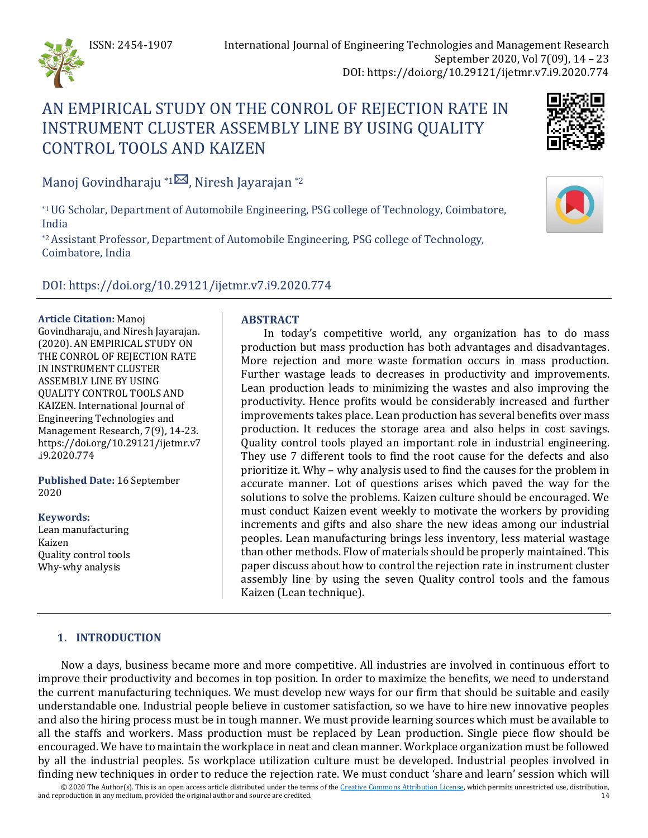

# AN EMPIRICAL STUDY ON THE CONROL OF REJECTION RATE IN INSTRUMENT CLUSTER ASSEMBLY LINE BY USING QUALITY CONTROL TOOLS AND KAIZEN



Manoj Govindharaju \*1 $\boxtimes$ , Niresh Jayarajan \*2

\*1 UG Scholar, Department of Automobile Engineering, PSG college of Technology, Coimbatore, India

\*2 Assistant Professor, Department of Automobile Engineering, PSG college of Technology, Coimbatore, India

# DOI: https://doi.org/10.29121/ijetmr.v7.i9.2020.774

#### **Article Citation:** Manoj

Govindharaju, and Niresh Jayarajan. (2020). AN EMPIRICAL STUDY ON THE CONROL OF REJECTION RATE IN INSTRUMENT CLUSTER ASSEMBLY LINE BY USING QUALITY CONTROL TOOLS AND KAIZEN. International Journal of Engineering Technologies and Management Research, 7(9), 14-23. https://doi.org/10.29121/ijetmr.v7 .i9.2020.774

**Published Date:** 16 September 2020

### **Keywords:**

Lean manufacturing Kaizen Quality control tools Why-why analysis

# **ABSTRACT**

In today's competitive world, any organization has to do mass production but mass production has both advantages and disadvantages. More rejection and more waste formation occurs in mass production. Further wastage leads to decreases in productivity and improvements. Lean production leads to minimizing the wastes and also improving the productivity. Hence profits would be considerably increased and further improvements takes place. Lean production has several benefits over mass production. It reduces the storage area and also helps in cost savings. Quality control tools played an important role in industrial engineering. They use 7 different tools to find the root cause for the defects and also prioritize it. Why – why analysis used to find the causes for the problem in accurate manner. Lot of questions arises which paved the way for the solutions to solve the problems. Kaizen culture should be encouraged. We must conduct Kaizen event weekly to motivate the workers by providing increments and gifts and also share the new ideas among our industrial peoples. Lean manufacturing brings less inventory, less material wastage than other methods. Flow of materials should be properly maintained. This paper discuss about how to control the rejection rate in instrument cluster assembly line by using the seven Quality control tools and the famous Kaizen (Lean technique).

# **1. INTRODUCTION**

Now a days, business became more and more competitive. All industries are involved in continuous effort to improve their productivity and becomes in top position. In order to maximize the benefits, we need to understand the current manufacturing techniques. We must develop new ways for our firm that should be suitable and easily understandable one. Industrial people believe in customer satisfaction, so we have to hire new innovative peoples and also the hiring process must be in tough manner. We must provide learning sources which must be available to all the staffs and workers. Mass production must be replaced by Lean production. Single piece flow should be encouraged. We have to maintain the workplace in neat and clean manner. Workplace organization must be followed by all the industrial peoples. 5s workplace utilization culture must be developed. Industrial peoples involved in finding new techniques in order to reduce the rejection rate. We must conduct 'share and learn' session which will

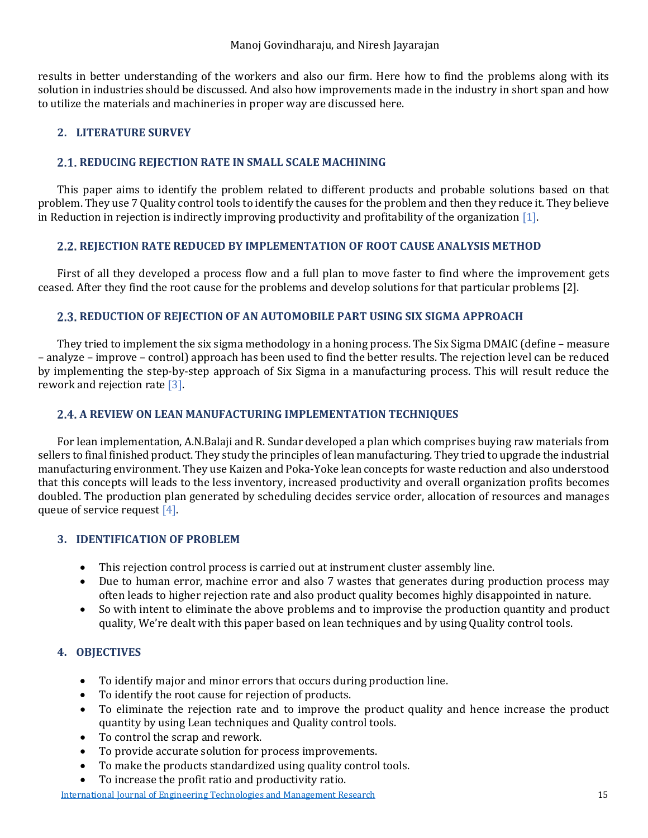results in better understanding of the workers and also our firm. Here how to find the problems along with its solution in industries should be discussed. And also how improvements made in the industry in short span and how to utilize the materials and machineries in proper way are discussed here.

# **2. LITERATURE SURVEY**

### **2.1. REDUCING REJECTION RATE IN SMALL SCALE MACHINING**

This paper aims to identify the problem related to different products and probable solutions based on that problem. They use 7 Quality control tools to identify the causes for the problem and then they reduce it. They believe in Reduction in rejection is indirectly improving productivity and profitability of the organizatio[n \[1\].](#page-9-0)

### **REJECTION RATE REDUCED BY IMPLEMENTATION OF ROOT CAUSE ANALYSIS METHOD**

First of all they developed a process flow and a full plan to move faster to find where the improvement gets ceased. After they find the root cause for the problems and develop solutions for that particular problem[s \[2\].](#page-9-1)

### **REDUCTION OF REJECTION OF AN AUTOMOBILE PART USING SIX SIGMA APPROACH**

They tried to implement the six sigma methodology in a honing process. The Six Sigma DMAIC (define – measure – analyze – improve – control) approach has been used to find the better results. The rejection level can be reduced by implementing the step-by-step approach of Six Sigma in a manufacturing process. This will result reduce the rework and rejection rat[e \[3\].](#page-9-2)

# **A REVIEW ON LEAN MANUFACTURING IMPLEMENTATION TECHNIQUES**

For lean implementation, A.N.Balaji and R. Sundar developed a plan which comprises buying raw materials from sellers to final finished product. They study the principles of lean manufacturing. They tried to upgrade the industrial manufacturing environment. They use Kaizen and Poka-Yoke lean concepts for waste reduction and also understood that this concepts will leads to the less inventory, increased productivity and overall organization profits becomes doubled. The production plan generated by scheduling decides service order, allocation of resources and manages queue of service request [\[4\].](#page-9-3)

# **3. IDENTIFICATION OF PROBLEM**

- This rejection control process is carried out at instrument cluster assembly line.
- Due to human error, machine error and also 7 wastes that generates during production process may often leads to higher rejection rate and also product quality becomes highly disappointed in nature.
- So with intent to eliminate the above problems and to improvise the production quantity and product quality, We're dealt with this paper based on lean techniques and by using Quality control tools.

# **4. OBJECTIVES**

- To identify major and minor errors that occurs during production line.
- To identify the root cause for rejection of products.
- To eliminate the rejection rate and to improve the product quality and hence increase the product quantity by using Lean techniques and Quality control tools.
- To control the scrap and rework.
- To provide accurate solution for process improvements.
- To make the products standardized using quality control tools.
- To increase the profit ratio and productivity ratio.

#### [International Journal of Engineering Technologies and Management Research](https://www.granthaalayahpublication.org/ijetmr-ojms/index.php/ijetmr) 15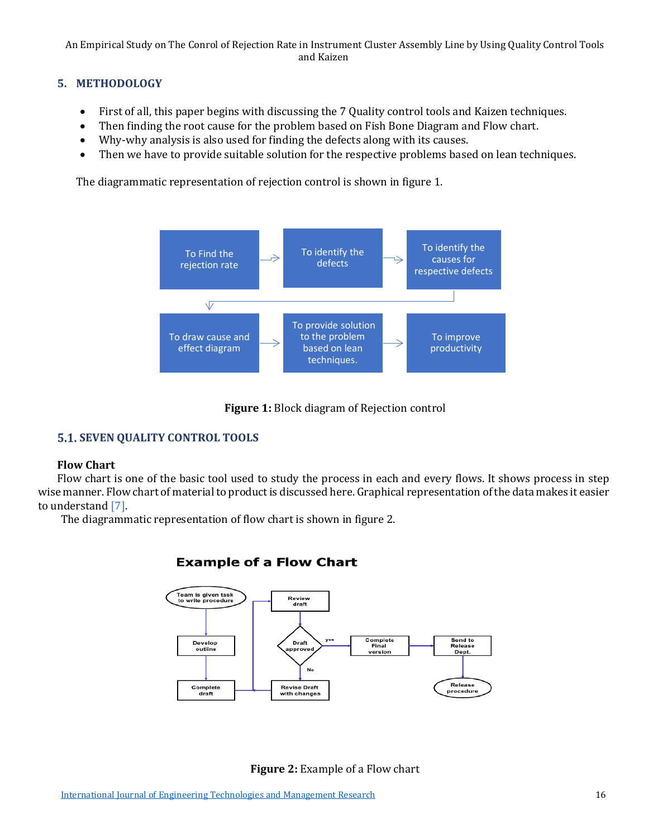# **5. METHODOLOGY**

- First of all, this paper begins with discussing the 7 Quality control tools and Kaizen techniques.
- Then finding the root cause for the problem based on Fish Bone Diagram and Flow chart.
- Why-why analysis is also used for finding the defects along with its causes.
- Then we have to provide suitable solution for the respective problems based on lean techniques.

The diagrammatic representation of rejection control is shown in figure 1.





# **5.1. SEVEN QUALITY CONTROL TOOLS**

# **Flow Chart**

Flow chart is one of the basic tool used to study the process in each and every flows. It shows process in step wise manner. Flow chart of material to product is discussed here. Graphical representation of the data makes it easier to understan[d \[7\].](#page-9-4) 

The diagrammatic representation of flow chart is shown in figure 2.

# **Example of a Flow Chart**



**Figure 2:** Example of a Flow chart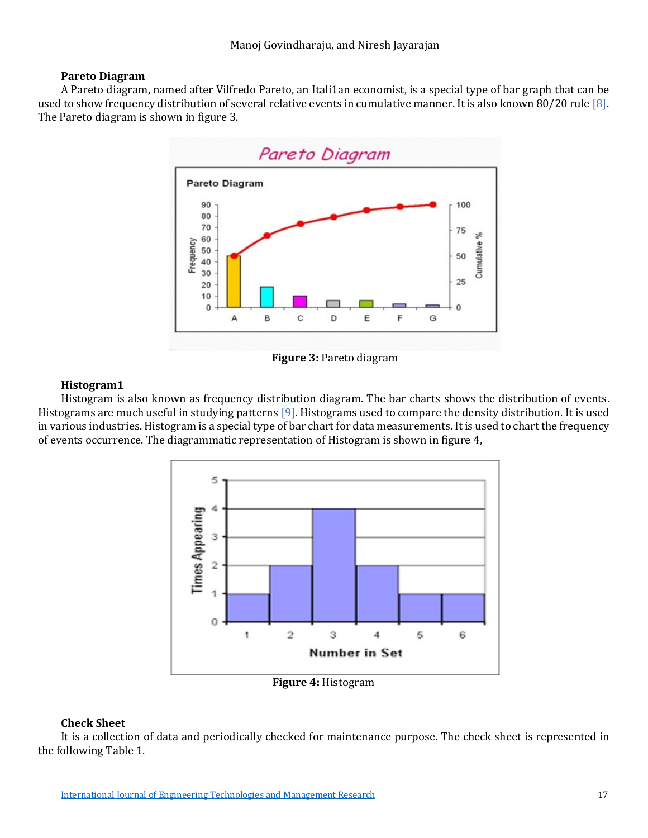### **Pareto Diagram**

A Pareto diagram, named after Vilfredo Pareto, an Itali1an economist, is a special type of bar graph that can be used to show frequency distribution of several relative events in cumulative manner. It is also known 80/20 rule [8]. The Pareto diagram is shown in figure 3.



**Figure 3:** Pareto diagram

# **Histogram1**

Histogram is also known as frequency distribution diagram. The bar charts shows the distribution of events. Histograms are much useful in studying patterns [\[9\].](#page-9-6) Histograms used to compare the density distribution. It is used in various industries. Histogram is a special type of bar chart for data measurements. It is used to chart the frequency of events occurrence. The diagrammatic representation of Histogram is shown in figure 4,



**Figure 4:** Histogram

# **Check Sheet**

It is a collection of data and periodically checked for maintenance purpose. The check sheet is represented in the following Table 1.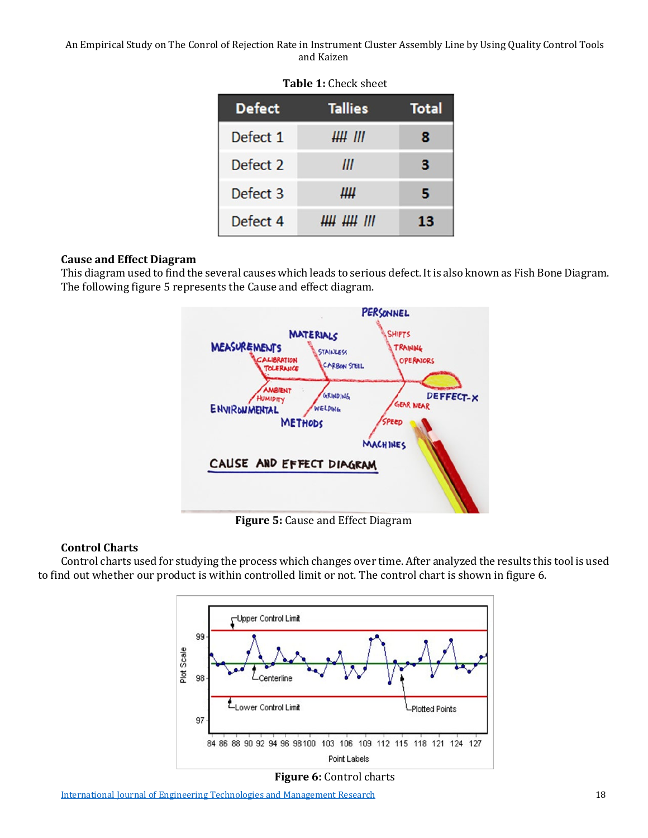| <b>Tallies</b> | <b>Total</b> |
|----------------|--------------|
| ## III         | 8            |
| Ш              | з            |
| Щ              | 5            |
| <i>щ щ ш</i>   | 13           |
|                |              |

### **Table 1:** Check sheet

### **Cause and Effect Diagram**

This diagram used to find the several causes which leads to serious defect. It is also known as Fish Bone Diagram. The following figure 5 represents the Cause and effect diagram.



**Figure 5:** Cause and Effect Diagram

# **Control Charts**

Control charts used for studying the process which changes over time. After analyzed the results this tool is used to find out whether our product is within controlled limit or not. The control chart is shown in figure 6.





[International Journal of Engineering Technologies and Management Research](https://www.granthaalayahpublication.org/ijetmr-ojms/index.php/ijetmr) 18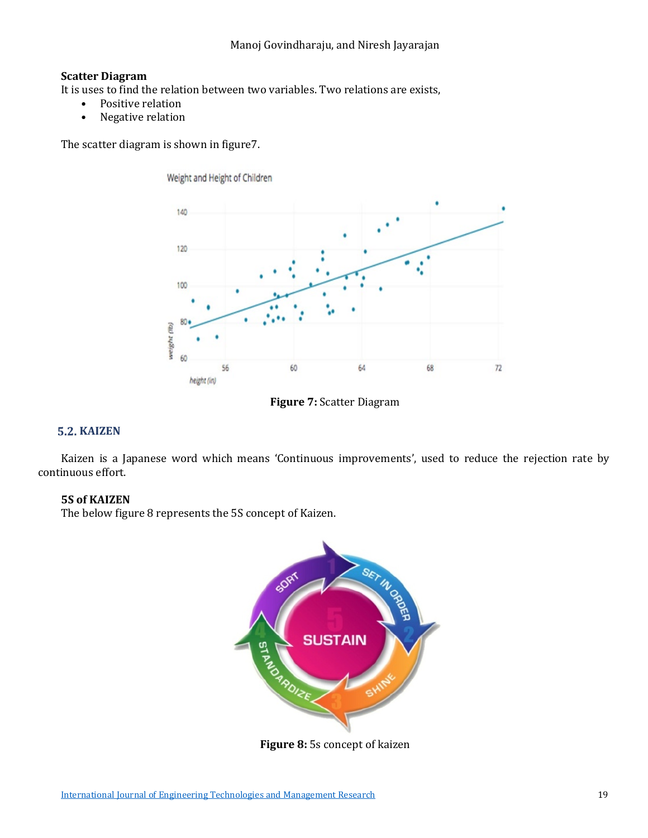# **Scatter Diagram**

It is uses to find the relation between two variables. Two relations are exists,<br>Positive relation

Weight and Height of Children

- Positive relation<br>• Negative relation
- Negative relation

The scatter diagram is shown in figure7.





# **5.2. KAIZEN**

Kaizen is a Japanese word which means 'Continuous improvements', used to reduce the rejection rate by continuous effort.

### **5S of KAIZEN**

The below figure 8 represents the 5S concept of Kaizen.



**Figure 8:** 5s concept of kaizen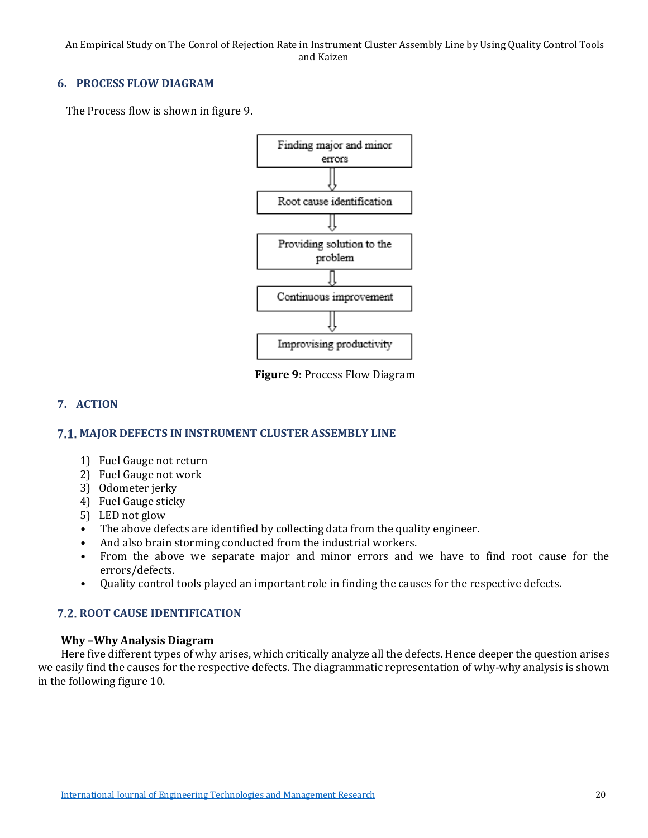### **6. PROCESS FLOW DIAGRAM**

The Process flow is shown in figure 9.



**Figure 9:** Process Flow Diagram

# **7. ACTION**

### **MAJOR DEFECTS IN INSTRUMENT CLUSTER ASSEMBLY LINE**

- 1) Fuel Gauge not return
- 2) Fuel Gauge not work
- 3) Odometer jerky
- 4) Fuel Gauge sticky
- 5) LED not glow
- The above defects are identified by collecting data from the quality engineer.
- And also brain storming conducted from the industrial workers.
- From the above we separate major and minor errors and we have to find root cause for the errors/defects.
- Quality control tools played an important role in finding the causes for the respective defects.

### **7.2. ROOT CAUSE IDENTIFICATION**

### **Why –Why Analysis Diagram**

Here five different types of why arises, which critically analyze all the defects. Hence deeper the question arises we easily find the causes for the respective defects. The diagrammatic representation of why-why analysis is shown in the following figure 10.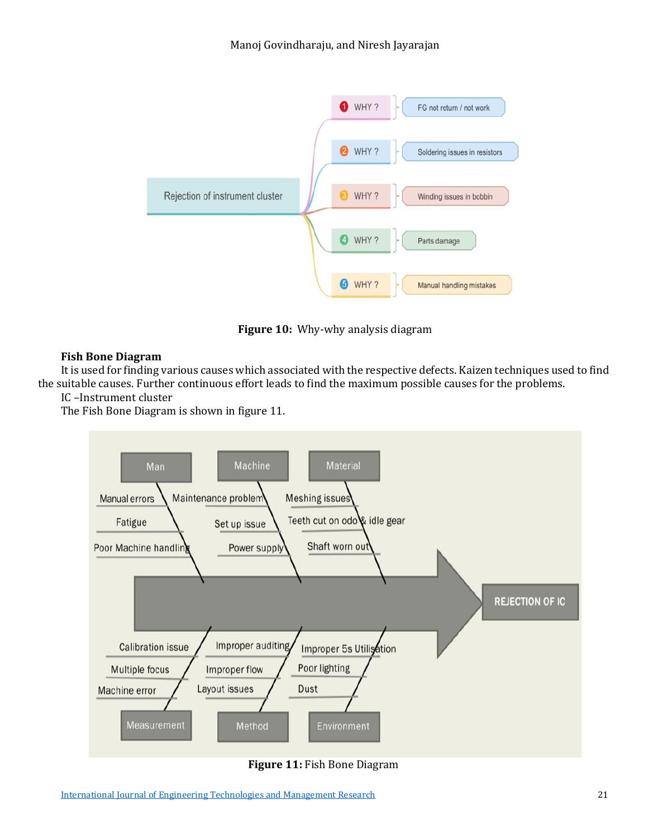

**Figure 10:** Why-why analysis diagram

# **Fish Bone Diagram**

It is used for finding various causes which associated with the respective defects. Kaizen techniques used to find the suitable causes. Further continuous effort leads to find the maximum possible causes for the problems.

IC –Instrument cluster

The Fish Bone Diagram is shown in figure 11.



**Figure 11:** Fish Bone Diagram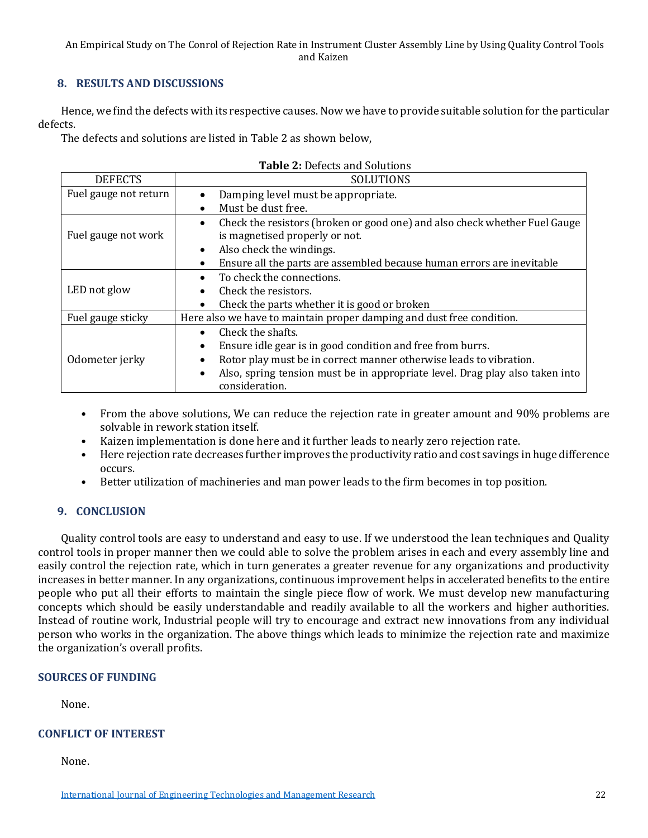### **8. RESULTS AND DISCUSSIONS**

Hence, we find the defects with its respective causes. Now we have to provide suitable solution for the particular defects.

The defects and solutions are listed in Table 2 as shown below,

| Table 2: Defects and Solutions |                                                                                                                                          |  |
|--------------------------------|------------------------------------------------------------------------------------------------------------------------------------------|--|
| <b>DEFECTS</b>                 | SOLUTIONS                                                                                                                                |  |
| Fuel gauge not return          | Damping level must be appropriate.                                                                                                       |  |
|                                | Must be dust free.                                                                                                                       |  |
| Fuel gauge not work            | Check the resistors (broken or good one) and also check whether Fuel Gauge<br>is magnetised properly or not.<br>Also check the windings. |  |
|                                | Ensure all the parts are assembled because human errors are inevitable                                                                   |  |
| LED not glow                   | To check the connections.                                                                                                                |  |
|                                | Check the resistors.                                                                                                                     |  |
|                                | Check the parts whether it is good or broken                                                                                             |  |
| Fuel gauge sticky              | Here also we have to maintain proper damping and dust free condition.                                                                    |  |
|                                | Check the shafts.                                                                                                                        |  |
| Odometer jerky                 | Ensure idle gear is in good condition and free from burrs.<br>$\bullet$                                                                  |  |
|                                | Rotor play must be in correct manner otherwise leads to vibration.                                                                       |  |
|                                | Also, spring tension must be in appropriate level. Drag play also taken into<br>$\bullet$<br>consideration.                              |  |

- From the above solutions, We can reduce the rejection rate in greater amount and 90% problems are solvable in rework station itself.
- Kaizen implementation is done here and it further leads to nearly zero rejection rate.
- Here rejection rate decreases further improves the productivity ratio and cost savings in huge difference occurs.
- Better utilization of machineries and man power leads to the firm becomes in top position.

### **9. CONCLUSION**

Quality control tools are easy to understand and easy to use. If we understood the lean techniques and Quality control tools in proper manner then we could able to solve the problem arises in each and every assembly line and easily control the rejection rate, which in turn generates a greater revenue for any organizations and productivity increases in better manner. In any organizations, continuous improvement helps in accelerated benefits to the entire people who put all their efforts to maintain the single piece flow of work. We must develop new manufacturing concepts which should be easily understandable and readily available to all the workers and higher authorities. Instead of routine work, Industrial people will try to encourage and extract new innovations from any individual person who works in the organization. The above things which leads to minimize the rejection rate and maximize the organization's overall profits.

### **SOURCES OF FUNDING**

None.

### **CONFLICT OF INTEREST**

None.